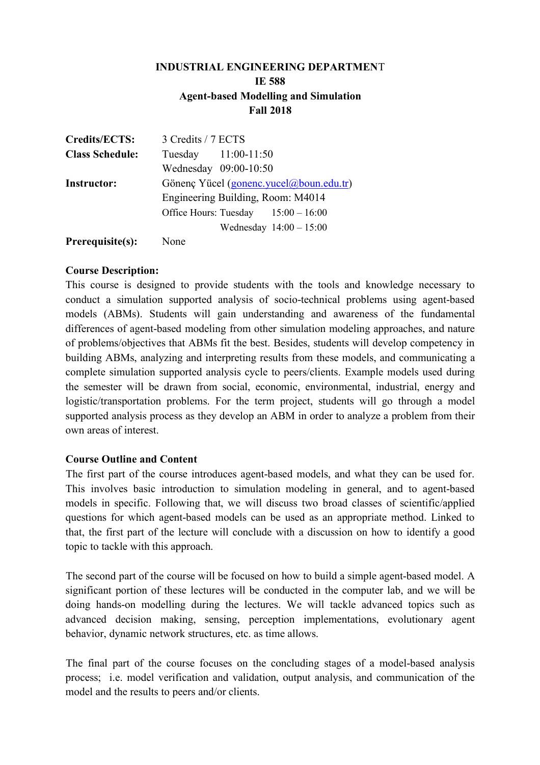# **INDUSTRIAL ENGINEERING DEPARTMEN**T **IE 588 Agent-based Modelling and Simulation Fall 2018**

| <b>Credits/ECTS:</b>   | 3 Credits / 7 ECTS                      |
|------------------------|-----------------------------------------|
| <b>Class Schedule:</b> | Tuesday 11:00-11:50                     |
|                        | Wednesday 09:00-10:50                   |
| <b>Instructor:</b>     | Gönenç Yücel (gonenc.yucel@boun.edu.tr) |
|                        | Engineering Building, Room: M4014       |
|                        | Office Hours: Tuesday $15:00 - 16:00$   |
|                        | Wednesday $14:00 - 15:00$               |
| Prerequisite(s):       | None                                    |

#### **Course Description:**

This course is designed to provide students with the tools and knowledge necessary to conduct a simulation supported analysis of socio-technical problems using agent-based models (ABMs). Students will gain understanding and awareness of the fundamental differences of agent-based modeling from other simulation modeling approaches, and nature of problems/objectives that ABMs fit the best. Besides, students will develop competency in building ABMs, analyzing and interpreting results from these models, and communicating a complete simulation supported analysis cycle to peers/clients. Example models used during the semester will be drawn from social, economic, environmental, industrial, energy and logistic/transportation problems. For the term project, students will go through a model supported analysis process as they develop an ABM in order to analyze a problem from their own areas of interest.

#### **Course Outline and Content**

The first part of the course introduces agent-based models, and what they can be used for. This involves basic introduction to simulation modeling in general, and to agent-based models in specific. Following that, we will discuss two broad classes of scientific/applied questions for which agent-based models can be used as an appropriate method. Linked to that, the first part of the lecture will conclude with a discussion on how to identify a good topic to tackle with this approach.

The second part of the course will be focused on how to build a simple agent-based model. A significant portion of these lectures will be conducted in the computer lab, and we will be doing hands-on modelling during the lectures. We will tackle advanced topics such as advanced decision making, sensing, perception implementations, evolutionary agent behavior, dynamic network structures, etc. as time allows.

The final part of the course focuses on the concluding stages of a model-based analysis process; i.e. model verification and validation, output analysis, and communication of the model and the results to peers and/or clients.